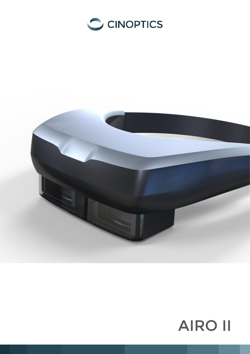



# AIRO II